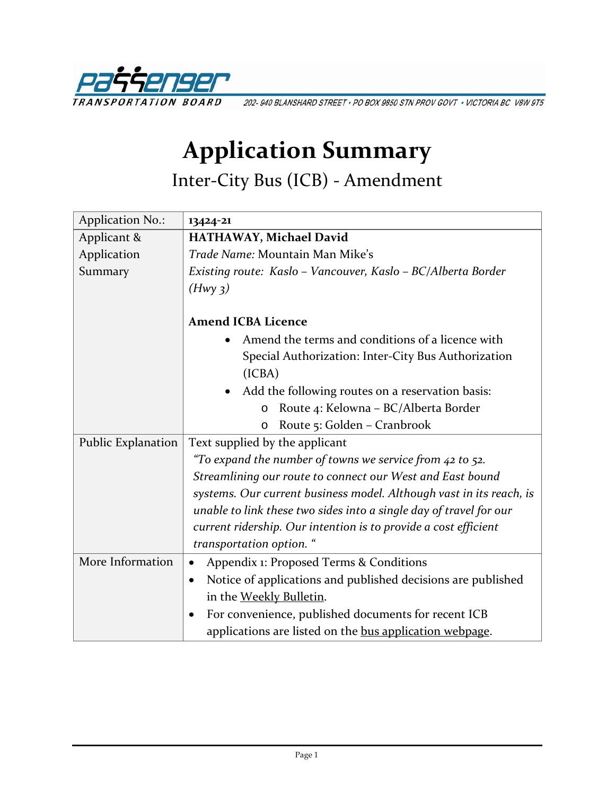

202-940 BLANSHARD STREET · PO BOX 9850 STN PROV GOVT · VICTORIA BC V8W 9T5

## **Application Summary**

Inter-City Bus (ICB) - Amendment

| <b>Application No.:</b> | 13424-21                                                                  |  |
|-------------------------|---------------------------------------------------------------------------|--|
| Applicant &             | HATHAWAY, Michael David                                                   |  |
| Application             | Trade Name: Mountain Man Mike's                                           |  |
| Summary                 | Existing route: Kaslo - Vancouver, Kaslo - BC/Alberta Border              |  |
|                         | (Hwy <sub>3</sub> )                                                       |  |
|                         |                                                                           |  |
|                         | <b>Amend ICBA Licence</b>                                                 |  |
|                         | Amend the terms and conditions of a licence with                          |  |
|                         | Special Authorization: Inter-City Bus Authorization                       |  |
|                         | (ICBA)                                                                    |  |
|                         | Add the following routes on a reservation basis:                          |  |
|                         | Route 4: Kelowna - BC/Alberta Border<br>$\circ$                           |  |
|                         | Route 5: Golden - Cranbrook<br>$\circ$                                    |  |
| Public Explanation      | Text supplied by the applicant                                            |  |
|                         | "To expand the number of towns we service from $42$ to 52.                |  |
|                         | Streamlining our route to connect our West and East bound                 |  |
|                         | systems. Our current business model. Although vast in its reach, is       |  |
|                         | unable to link these two sides into a single day of travel for our        |  |
|                         | current ridership. Our intention is to provide a cost efficient           |  |
|                         | transportation option. "                                                  |  |
| More Information        | Appendix 1: Proposed Terms & Conditions<br>$\bullet$                      |  |
|                         | Notice of applications and published decisions are published<br>$\bullet$ |  |
|                         | in the Weekly Bulletin.                                                   |  |
|                         | For convenience, published documents for recent ICB<br>$\bullet$          |  |
|                         | applications are listed on the bus application webpage.                   |  |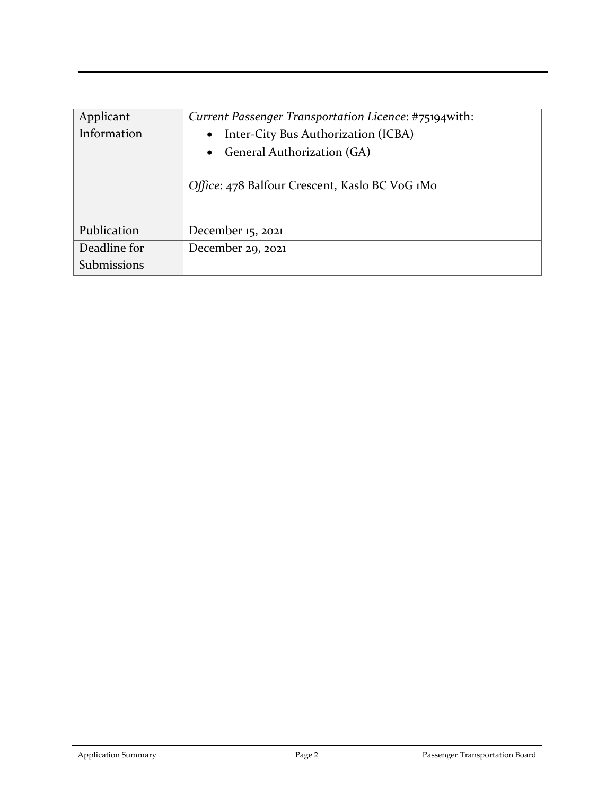| Applicant<br>Information | Current Passenger Transportation Licence: #75194with:<br>Inter-City Bus Authorization (ICBA)<br>$\bullet$<br>• General Authorization (GA)<br>Office: 478 Balfour Crescent, Kaslo BC VoG 1Mo |
|--------------------------|---------------------------------------------------------------------------------------------------------------------------------------------------------------------------------------------|
| Publication              | December 15, 2021                                                                                                                                                                           |
| Deadline for             | December 29, 2021                                                                                                                                                                           |
| Submissions              |                                                                                                                                                                                             |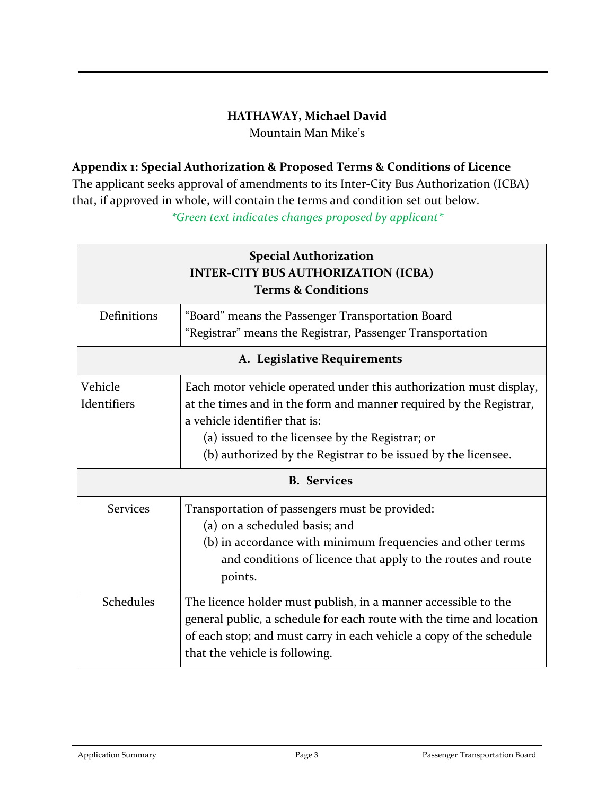## **HATHAWAY, Michael David**

Mountain Man Mike's

## **Appendix 1: Special Authorization & Proposed Terms & Conditions of Licence**

The applicant seeks approval of amendments to its Inter-City Bus Authorization (ICBA) that, if approved in whole, will contain the terms and condition set out below. *\*Green text indicates changes proposed by applicant\**

| <b>Special Authorization</b><br><b>INTER-CITY BUS AUTHORIZATION (ICBA)</b><br><b>Terms &amp; Conditions</b> |                                                                                                                                                                                                                                                 |  |
|-------------------------------------------------------------------------------------------------------------|-------------------------------------------------------------------------------------------------------------------------------------------------------------------------------------------------------------------------------------------------|--|
| Definitions                                                                                                 | "Board" means the Passenger Transportation Board                                                                                                                                                                                                |  |
|                                                                                                             | "Registrar" means the Registrar, Passenger Transportation                                                                                                                                                                                       |  |
| A. Legislative Requirements                                                                                 |                                                                                                                                                                                                                                                 |  |
| Vehicle                                                                                                     | Each motor vehicle operated under this authorization must display,                                                                                                                                                                              |  |
| Identifiers                                                                                                 | at the times and in the form and manner required by the Registrar,                                                                                                                                                                              |  |
|                                                                                                             | a vehicle identifier that is:                                                                                                                                                                                                                   |  |
|                                                                                                             | (a) issued to the licensee by the Registrar; or                                                                                                                                                                                                 |  |
|                                                                                                             | (b) authorized by the Registrar to be issued by the licensee.                                                                                                                                                                                   |  |
| <b>B.</b> Services                                                                                          |                                                                                                                                                                                                                                                 |  |
| <b>Services</b>                                                                                             | Transportation of passengers must be provided:                                                                                                                                                                                                  |  |
|                                                                                                             | (a) on a scheduled basis; and                                                                                                                                                                                                                   |  |
|                                                                                                             | (b) in accordance with minimum frequencies and other terms                                                                                                                                                                                      |  |
|                                                                                                             | and conditions of licence that apply to the routes and route<br>points.                                                                                                                                                                         |  |
| Schedules                                                                                                   | The licence holder must publish, in a manner accessible to the<br>general public, a schedule for each route with the time and location<br>of each stop; and must carry in each vehicle a copy of the schedule<br>that the vehicle is following. |  |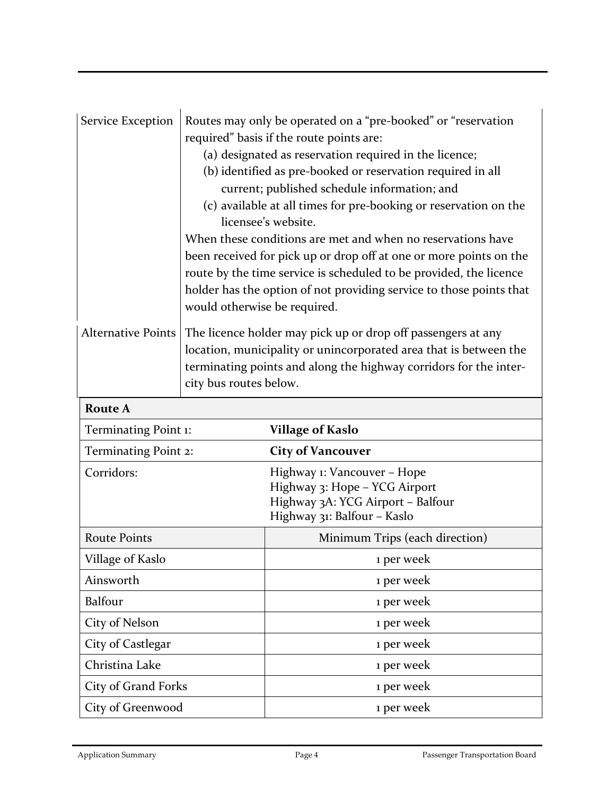| Service Exception         | Routes may only be operated on a "pre-booked" or "reservation<br>required" basis if the route points are:<br>(a) designated as reservation required in the licence;<br>(b) identified as pre-booked or reservation required in all<br>current; published schedule information; and<br>(c) available at all times for pre-booking or reservation on the<br>licensee's website.<br>When these conditions are met and when no reservations have<br>been received for pick up or drop off at one or more points on the<br>route by the time service is scheduled to be provided, the licence<br>holder has the option of not providing service to those points that<br>would otherwise be required. |                                                                                                                                  |
|---------------------------|-------------------------------------------------------------------------------------------------------------------------------------------------------------------------------------------------------------------------------------------------------------------------------------------------------------------------------------------------------------------------------------------------------------------------------------------------------------------------------------------------------------------------------------------------------------------------------------------------------------------------------------------------------------------------------------------------|----------------------------------------------------------------------------------------------------------------------------------|
| <b>Alternative Points</b> | The licence holder may pick up or drop off passengers at any<br>location, municipality or unincorporated area that is between the<br>terminating points and along the highway corridors for the inter-<br>city bus routes below.                                                                                                                                                                                                                                                                                                                                                                                                                                                                |                                                                                                                                  |
| <b>Route A</b>            |                                                                                                                                                                                                                                                                                                                                                                                                                                                                                                                                                                                                                                                                                                 |                                                                                                                                  |
| Terminating Point 1:      |                                                                                                                                                                                                                                                                                                                                                                                                                                                                                                                                                                                                                                                                                                 | <b>Village of Kaslo</b>                                                                                                          |
| Terminating Point 2:      |                                                                                                                                                                                                                                                                                                                                                                                                                                                                                                                                                                                                                                                                                                 | <b>City of Vancouver</b>                                                                                                         |
| Corridors:                |                                                                                                                                                                                                                                                                                                                                                                                                                                                                                                                                                                                                                                                                                                 | Highway 1: Vancouver - Hope<br>Highway 3: Hope - YCG Airport<br>Highway 3A: YCG Airport - Balfour<br>Highway 31: Balfour - Kaslo |
| <b>Route Points</b>       |                                                                                                                                                                                                                                                                                                                                                                                                                                                                                                                                                                                                                                                                                                 | Minimum Trips (each direction)                                                                                                   |
| Village of Kaslo          |                                                                                                                                                                                                                                                                                                                                                                                                                                                                                                                                                                                                                                                                                                 | 1 per week                                                                                                                       |
| Ainsworth                 |                                                                                                                                                                                                                                                                                                                                                                                                                                                                                                                                                                                                                                                                                                 | 1 per week                                                                                                                       |
| <b>Balfour</b>            |                                                                                                                                                                                                                                                                                                                                                                                                                                                                                                                                                                                                                                                                                                 | 1 per week                                                                                                                       |
| City of Nelson            |                                                                                                                                                                                                                                                                                                                                                                                                                                                                                                                                                                                                                                                                                                 | 1 per week                                                                                                                       |
| City of Castlegar         |                                                                                                                                                                                                                                                                                                                                                                                                                                                                                                                                                                                                                                                                                                 | 1 per week                                                                                                                       |
| Christina Lake            |                                                                                                                                                                                                                                                                                                                                                                                                                                                                                                                                                                                                                                                                                                 | 1 per week                                                                                                                       |
| City of Grand Forks       |                                                                                                                                                                                                                                                                                                                                                                                                                                                                                                                                                                                                                                                                                                 | 1 per week                                                                                                                       |
| City of Greenwood         |                                                                                                                                                                                                                                                                                                                                                                                                                                                                                                                                                                                                                                                                                                 | 1 per week                                                                                                                       |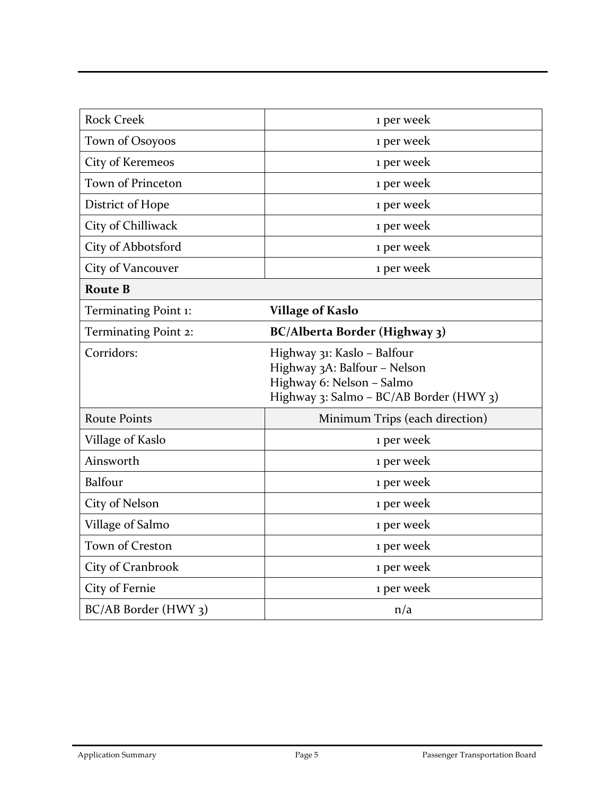| <b>Rock Creek</b>    | 1 per week                                                                                                                          |
|----------------------|-------------------------------------------------------------------------------------------------------------------------------------|
| Town of Osoyoos      | 1 per week                                                                                                                          |
| City of Keremeos     | 1 per week                                                                                                                          |
| Town of Princeton    | 1 per week                                                                                                                          |
| District of Hope     | 1 per week                                                                                                                          |
| City of Chilliwack   | 1 per week                                                                                                                          |
| City of Abbotsford   | 1 per week                                                                                                                          |
| City of Vancouver    | 1 per week                                                                                                                          |
| <b>Route B</b>       |                                                                                                                                     |
| Terminating Point 1: | <b>Village of Kaslo</b>                                                                                                             |
| Terminating Point 2: | BC/Alberta Border (Highway 3)                                                                                                       |
| Corridors:           | Highway 31: Kaslo - Balfour<br>Highway 3A: Balfour - Nelson<br>Highway 6: Nelson - Salmo<br>Highway 3: Salmo - BC/AB Border (HWY 3) |
| <b>Route Points</b>  | Minimum Trips (each direction)                                                                                                      |
| Village of Kaslo     | 1 per week                                                                                                                          |
| Ainsworth            | 1 per week                                                                                                                          |
| <b>Balfour</b>       | 1 per week                                                                                                                          |
| City of Nelson       | 1 per week                                                                                                                          |
| Village of Salmo     | 1 per week                                                                                                                          |
| Town of Creston      | 1 per week                                                                                                                          |
| City of Cranbrook    | 1 per week                                                                                                                          |
| City of Fernie       | 1 per week                                                                                                                          |
| BC/AB Border (HWY 3) | n/a                                                                                                                                 |
|                      |                                                                                                                                     |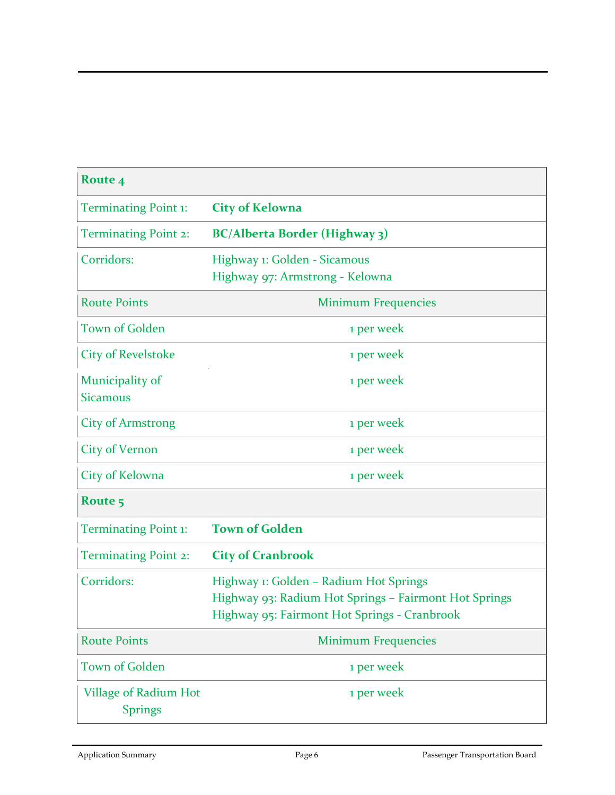| Route 4                                 |                                                                                                                                                 |
|-----------------------------------------|-------------------------------------------------------------------------------------------------------------------------------------------------|
| <b>Terminating Point 1:</b>             | <b>City of Kelowna</b>                                                                                                                          |
| <b>Terminating Point 2:</b>             | <b>BC/Alberta Border (Highway 3)</b>                                                                                                            |
| Corridors:                              | Highway 1: Golden - Sicamous<br>Highway 97: Armstrong - Kelowna                                                                                 |
| <b>Route Points</b>                     | <b>Minimum Frequencies</b>                                                                                                                      |
| <b>Town of Golden</b>                   | 1 per week                                                                                                                                      |
| <b>City of Revelstoke</b>               | 1 per week                                                                                                                                      |
| Municipality of<br><b>Sicamous</b>      | 1 per week                                                                                                                                      |
| <b>City of Armstrong</b>                | 1 per week                                                                                                                                      |
| <b>City of Vernon</b>                   | 1 per week                                                                                                                                      |
| City of Kelowna                         | 1 per week                                                                                                                                      |
| Route 5                                 |                                                                                                                                                 |
| <b>Terminating Point 1:</b>             | <b>Town of Golden</b>                                                                                                                           |
| <b>Terminating Point 2:</b>             | <b>City of Cranbrook</b>                                                                                                                        |
| Corridors:                              | Highway 1: Golden - Radium Hot Springs<br>Highway 93: Radium Hot Springs - Fairmont Hot Springs<br>Highway 95: Fairmont Hot Springs - Cranbrook |
| <b>Route Points</b>                     | <b>Minimum Frequencies</b>                                                                                                                      |
| <b>Town of Golden</b>                   | 1 per week                                                                                                                                      |
| Village of Radium Hot<br><b>Springs</b> | 1 per week                                                                                                                                      |